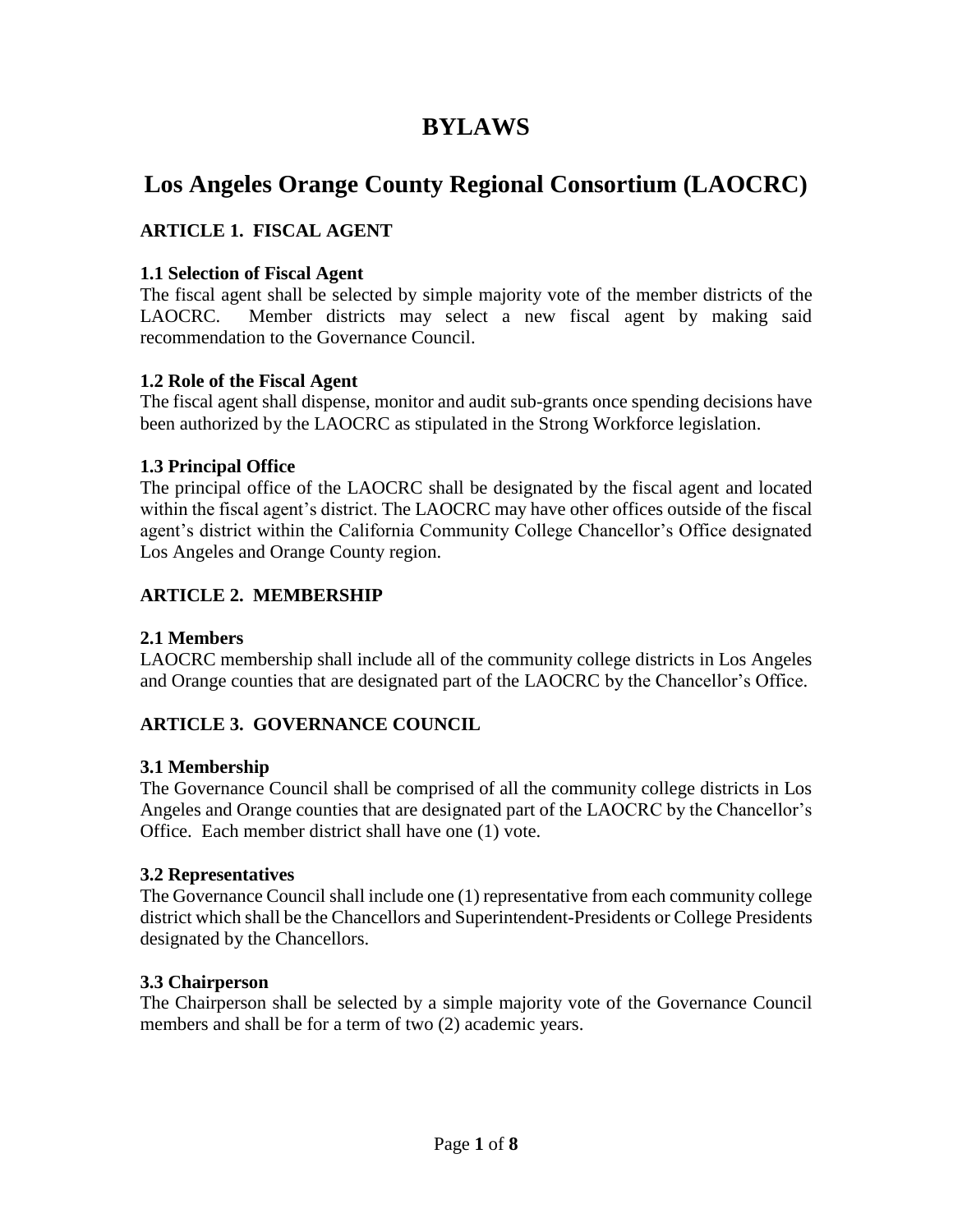# **BYLAWS**

# **Los Angeles Orange County Regional Consortium (LAOCRC)**

# **ARTICLE 1. FISCAL AGENT**

#### **1.1 Selection of Fiscal Agent**

The fiscal agent shall be selected by simple majority vote of the member districts of the LAOCRC. Member districts may select a new fiscal agent by making said recommendation to the Governance Council.

#### **1.2 Role of the Fiscal Agent**

The fiscal agent shall dispense, monitor and audit sub-grants once spending decisions have been authorized by the LAOCRC as stipulated in the Strong Workforce legislation.

#### **1.3 Principal Office**

The principal office of the LAOCRC shall be designated by the fiscal agent and located within the fiscal agent's district. The LAOCRC may have other offices outside of the fiscal agent's district within the California Community College Chancellor's Office designated Los Angeles and Orange County region.

# **ARTICLE 2. MEMBERSHIP**

#### **2.1 Members**

LAOCRC membership shall include all of the community college districts in Los Angeles and Orange counties that are designated part of the LAOCRC by the Chancellor's Office.

# **ARTICLE 3. GOVERNANCE COUNCIL**

#### **3.1 Membership**

The Governance Council shall be comprised of all the community college districts in Los Angeles and Orange counties that are designated part of the LAOCRC by the Chancellor's Office. Each member district shall have one (1) vote.

#### **3.2 Representatives**

The Governance Council shall include one (1) representative from each community college district which shall be the Chancellors and Superintendent-Presidents or College Presidents designated by the Chancellors.

#### **3.3 Chairperson**

The Chairperson shall be selected by a simple majority vote of the Governance Council members and shall be for a term of two (2) academic years.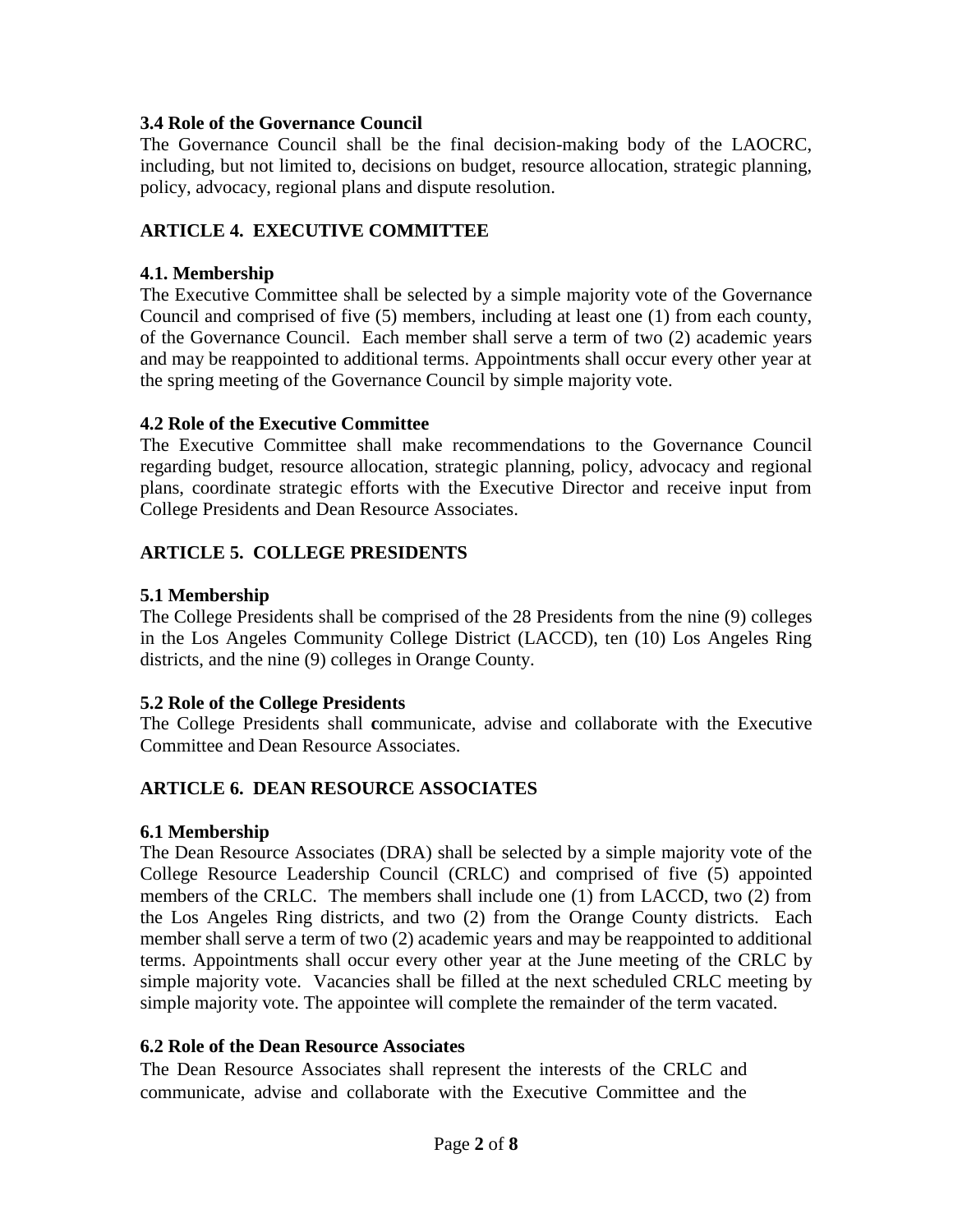#### **3.4 Role of the Governance Council**

The Governance Council shall be the final decision-making body of the LAOCRC, including, but not limited to, decisions on budget, resource allocation, strategic planning, policy, advocacy, regional plans and dispute resolution.

# **ARTICLE 4. EXECUTIVE COMMITTEE**

#### **4.1. Membership**

The Executive Committee shall be selected by a simple majority vote of the Governance Council and comprised of five (5) members, including at least one (1) from each county, of the Governance Council. Each member shall serve a term of two (2) academic years and may be reappointed to additional terms. Appointments shall occur every other year at the spring meeting of the Governance Council by simple majority vote.

#### **4.2 Role of the Executive Committee**

The Executive Committee shall make recommendations to the Governance Council regarding budget, resource allocation, strategic planning, policy, advocacy and regional plans, coordinate strategic efforts with the Executive Director and receive input from College Presidents and Dean Resource Associates.

# **ARTICLE 5. COLLEGE PRESIDENTS**

# **5.1 Membership**

The College Presidents shall be comprised of the 28 Presidents from the nine (9) colleges in the Los Angeles Community College District (LACCD), ten (10) Los Angeles Ring districts, and the nine (9) colleges in Orange County.

# **5.2 Role of the College Presidents**

The College Presidents shall **c**ommunicate, advise and collaborate with the Executive Committee and Dean Resource Associates.

# **ARTICLE 6. DEAN RESOURCE ASSOCIATES**

# **6.1 Membership**

The Dean Resource Associates (DRA) shall be selected by a simple majority vote of the College Resource Leadership Council (CRLC) and comprised of five (5) appointed members of the CRLC. The members shall include one (1) from LACCD, two (2) from the Los Angeles Ring districts, and two (2) from the Orange County districts. Each member shall serve a term of two (2) academic years and may be reappointed to additional terms. Appointments shall occur every other year at the June meeting of the CRLC by simple majority vote. Vacancies shall be filled at the next scheduled CRLC meeting by simple majority vote. The appointee will complete the remainder of the term vacated.

#### **6.2 Role of the Dean Resource Associates**

The Dean Resource Associates shall represent the interests of the CRLC and communicate, advise and collaborate with the Executive Committee and the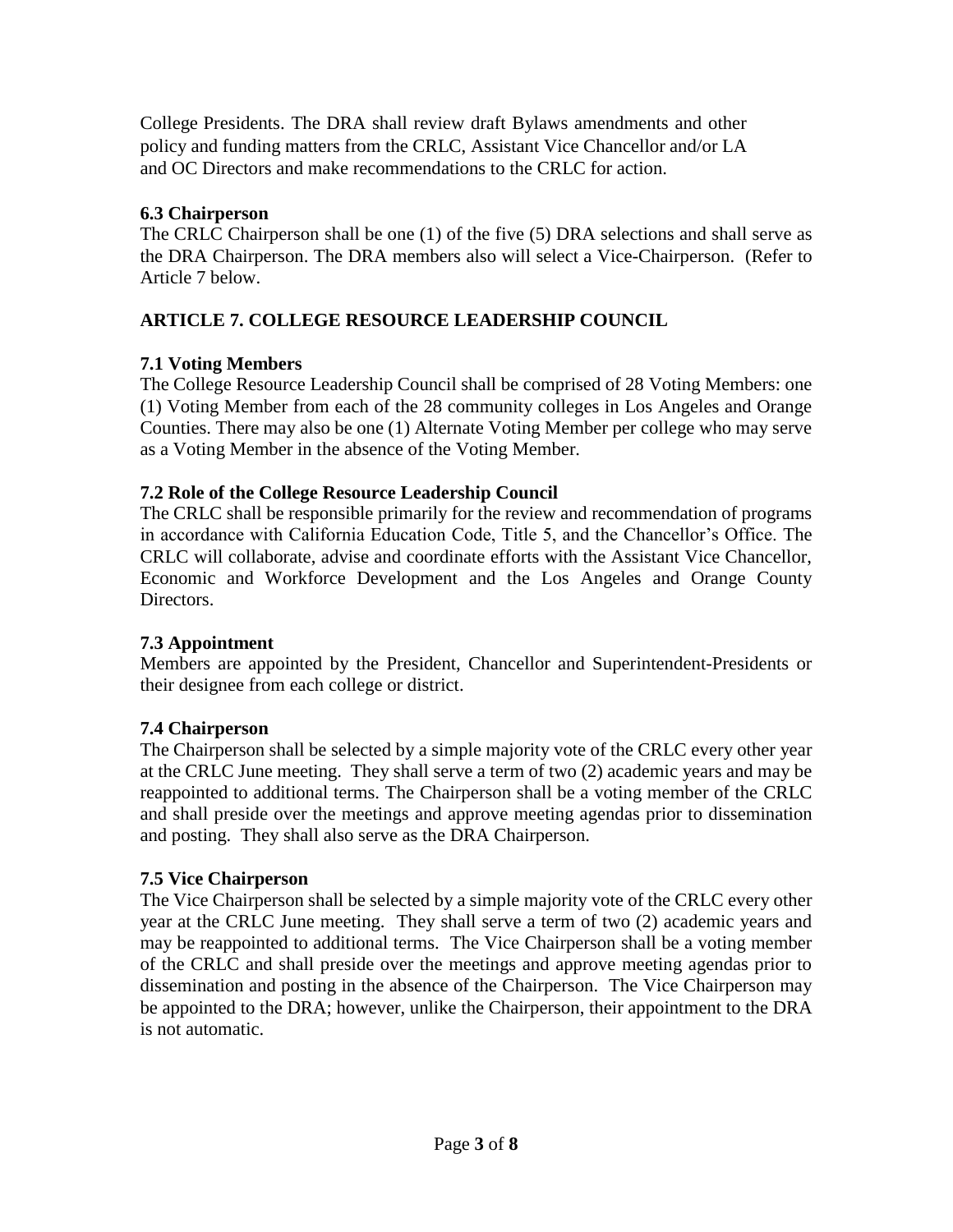College Presidents. The DRA shall review draft Bylaws amendments and other policy and funding matters from the CRLC, Assistant Vice Chancellor and/or LA and OC Directors and make recommendations to the CRLC for action.

# **6.3 Chairperson**

The CRLC Chairperson shall be one (1) of the five (5) DRA selections and shall serve as the DRA Chairperson. The DRA members also will select a Vice-Chairperson. (Refer to Article 7 below.

# **ARTICLE 7. COLLEGE RESOURCE LEADERSHIP COUNCIL**

# **7.1 Voting Members**

The College Resource Leadership Council shall be comprised of 28 Voting Members: one (1) Voting Member from each of the 28 community colleges in Los Angeles and Orange Counties. There may also be one (1) Alternate Voting Member per college who may serve as a Voting Member in the absence of the Voting Member.

# **7.2 Role of the College Resource Leadership Council**

The CRLC shall be responsible primarily for the review and recommendation of programs in accordance with California Education Code, Title 5, and the Chancellor's Office. The CRLC will collaborate, advise and coordinate efforts with the Assistant Vice Chancellor, Economic and Workforce Development and the Los Angeles and Orange County Directors.

# **7.3 Appointment**

Members are appointed by the President, Chancellor and Superintendent-Presidents or their designee from each college or district.

# **7.4 Chairperson**

The Chairperson shall be selected by a simple majority vote of the CRLC every other year at the CRLC June meeting. They shall serve a term of two (2) academic years and may be reappointed to additional terms. The Chairperson shall be a voting member of the CRLC and shall preside over the meetings and approve meeting agendas prior to dissemination and posting. They shall also serve as the DRA Chairperson.

# **7.5 Vice Chairperson**

The Vice Chairperson shall be selected by a simple majority vote of the CRLC every other year at the CRLC June meeting. They shall serve a term of two (2) academic years and may be reappointed to additional terms. The Vice Chairperson shall be a voting member of the CRLC and shall preside over the meetings and approve meeting agendas prior to dissemination and posting in the absence of the Chairperson. The Vice Chairperson may be appointed to the DRA; however, unlike the Chairperson, their appointment to the DRA is not automatic.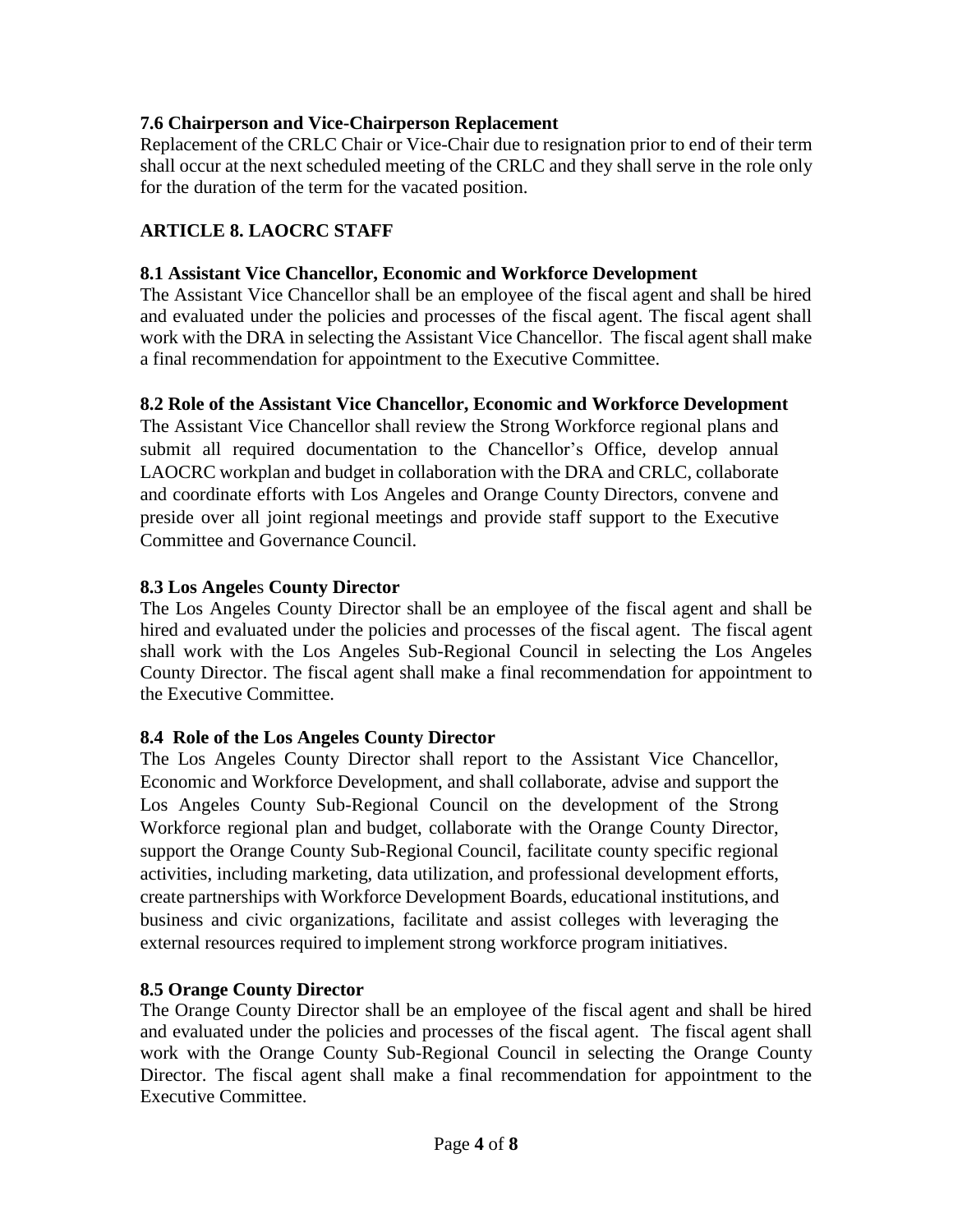# **7.6 Chairperson and Vice-Chairperson Replacement**

Replacement of the CRLC Chair or Vice-Chair due to resignation prior to end of their term shall occur at the next scheduled meeting of the CRLC and they shall serve in the role only for the duration of the term for the vacated position.

### **ARTICLE 8. LAOCRC STAFF**

#### **8.1 Assistant Vice Chancellor, Economic and Workforce Development**

The Assistant Vice Chancellor shall be an employee of the fiscal agent and shall be hired and evaluated under the policies and processes of the fiscal agent. The fiscal agent shall work with the DRA in selecting the Assistant Vice Chancellor. The fiscal agent shall make a final recommendation for appointment to the Executive Committee.

#### **8.2 Role of the Assistant Vice Chancellor, Economic and Workforce Development**

The Assistant Vice Chancellor shall review the Strong Workforce regional plans and submit all required documentation to the Chancellor's Office, develop annual LAOCRC workplan and budget in collaboration with the DRA and CRLC, collaborate and coordinate efforts with Los Angeles and Orange County Directors, convene and preside over all joint regional meetings and provide staff support to the Executive Committee and Governance Council.

#### **8.3 Los Angele**s **County Director**

The Los Angeles County Director shall be an employee of the fiscal agent and shall be hired and evaluated under the policies and processes of the fiscal agent. The fiscal agent shall work with the Los Angeles Sub-Regional Council in selecting the Los Angeles County Director. The fiscal agent shall make a final recommendation for appointment to the Executive Committee.

#### **8.4 Role of the Los Angeles County Director**

The Los Angeles County Director shall report to the Assistant Vice Chancellor, Economic and Workforce Development, and shall collaborate, advise and support the Los Angeles County Sub-Regional Council on the development of the Strong Workforce regional plan and budget, collaborate with the Orange County Director, support the Orange County Sub-Regional Council, facilitate county specific regional activities, including marketing, data utilization, and professional development efforts, create partnerships with Workforce Development Boards, educational institutions, and business and civic organizations, facilitate and assist colleges with leveraging the external resources required to implement strong workforce program initiatives.

#### **8.5 Orange County Director**

The Orange County Director shall be an employee of the fiscal agent and shall be hired and evaluated under the policies and processes of the fiscal agent. The fiscal agent shall work with the Orange County Sub-Regional Council in selecting the Orange County Director. The fiscal agent shall make a final recommendation for appointment to the Executive Committee.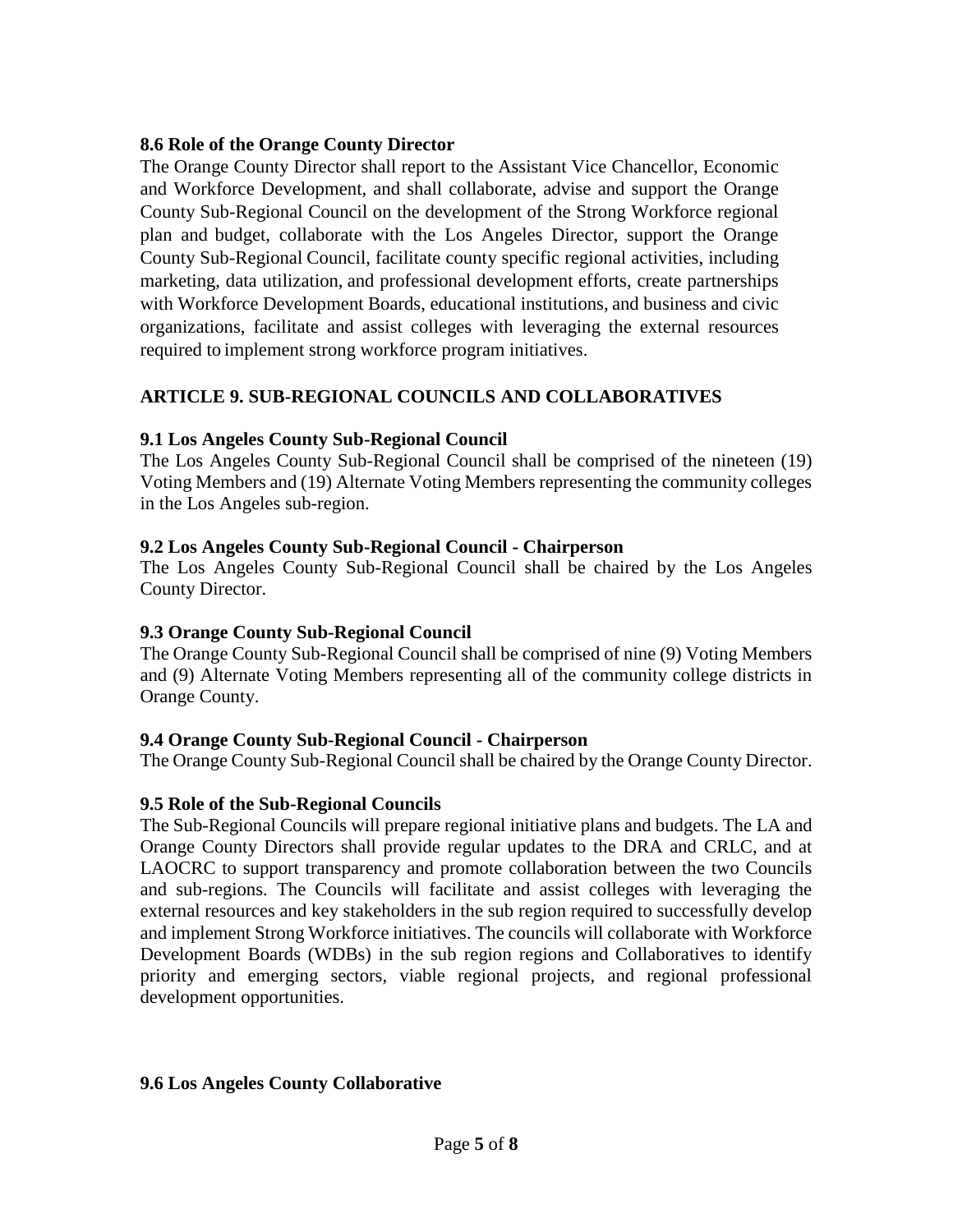#### **8.6 Role of the Orange County Director**

The Orange County Director shall report to the Assistant Vice Chancellor, Economic and Workforce Development, and shall collaborate, advise and support the Orange County Sub-Regional Council on the development of the Strong Workforce regional plan and budget, collaborate with the Los Angeles Director, support the Orange County Sub-Regional Council, facilitate county specific regional activities, including marketing, data utilization, and professional development efforts, create partnerships with Workforce Development Boards, educational institutions, and business and civic organizations, facilitate and assist colleges with leveraging the external resources required to implement strong workforce program initiatives.

# **ARTICLE 9. SUB-REGIONAL COUNCILS AND COLLABORATIVES**

#### **9.1 Los Angeles County Sub-Regional Council**

The Los Angeles County Sub-Regional Council shall be comprised of the nineteen (19) Voting Members and (19) Alternate Voting Members representing the community colleges in the Los Angeles sub-region.

#### **9.2 Los Angeles County Sub-Regional Council - Chairperson**

The Los Angeles County Sub-Regional Council shall be chaired by the Los Angeles County Director.

#### **9.3 Orange County Sub-Regional Council**

The Orange County Sub-Regional Council shall be comprised of nine (9) Voting Members and (9) Alternate Voting Members representing all of the community college districts in Orange County.

# **9.4 Orange County Sub-Regional Council - Chairperson**

The Orange County Sub-Regional Council shall be chaired by the Orange County Director.

# **9.5 Role of the Sub-Regional Councils**

The Sub-Regional Councils will prepare regional initiative plans and budgets. The LA and Orange County Directors shall provide regular updates to the DRA and CRLC, and at LAOCRC to support transparency and promote collaboration between the two Councils and sub-regions. The Councils will facilitate and assist colleges with leveraging the external resources and key stakeholders in the sub region required to successfully develop and implement Strong Workforce initiatives. The councils will collaborate with Workforce Development Boards (WDBs) in the sub region regions and Collaboratives to identify priority and emerging sectors, viable regional projects, and regional professional development opportunities.

#### **9.6 Los Angeles County Collaborative**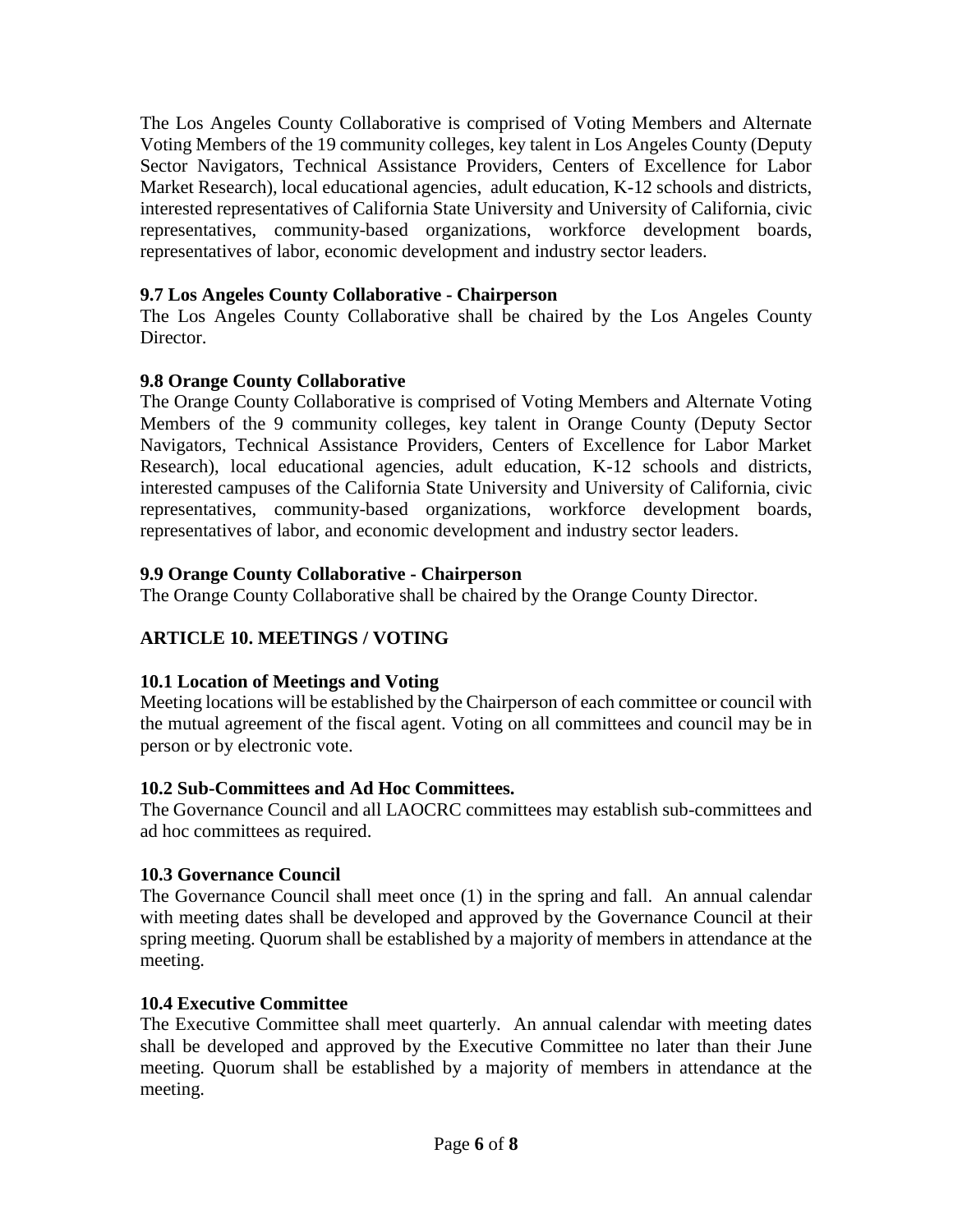The Los Angeles County Collaborative is comprised of Voting Members and Alternate Voting Members of the 19 community colleges, key talent in Los Angeles County (Deputy Sector Navigators, Technical Assistance Providers, Centers of Excellence for Labor Market Research), local educational agencies, adult education, K-12 schools and districts, interested representatives of California State University and University of California, civic representatives, community-based organizations, workforce development boards, representatives of labor, economic development and industry sector leaders.

#### **9.7 Los Angeles County Collaborative - Chairperson**

The Los Angeles County Collaborative shall be chaired by the Los Angeles County Director.

#### **9.8 Orange County Collaborative**

The Orange County Collaborative is comprised of Voting Members and Alternate Voting Members of the 9 community colleges, key talent in Orange County (Deputy Sector Navigators, Technical Assistance Providers, Centers of Excellence for Labor Market Research), local educational agencies, adult education, K-12 schools and districts, interested campuses of the California State University and University of California, civic representatives, community-based organizations, workforce development boards, representatives of labor, and economic development and industry sector leaders.

#### **9.9 Orange County Collaborative - Chairperson**

The Orange County Collaborative shall be chaired by the Orange County Director.

# **ARTICLE 10. MEETINGS / VOTING**

# **10.1 Location of Meetings and Voting**

Meeting locations will be established by the Chairperson of each committee or council with the mutual agreement of the fiscal agent. Voting on all committees and council may be in person or by electronic vote.

#### **10.2 Sub-Committees and Ad Hoc Committees.**

The Governance Council and all LAOCRC committees may establish sub-committees and ad hoc committees as required.

#### **10.3 Governance Council**

The Governance Council shall meet once (1) in the spring and fall. An annual calendar with meeting dates shall be developed and approved by the Governance Council at their spring meeting. Quorum shall be established by a majority of members in attendance at the meeting.

#### **10.4 Executive Committee**

The Executive Committee shall meet quarterly. An annual calendar with meeting dates shall be developed and approved by the Executive Committee no later than their June meeting. Quorum shall be established by a majority of members in attendance at the meeting.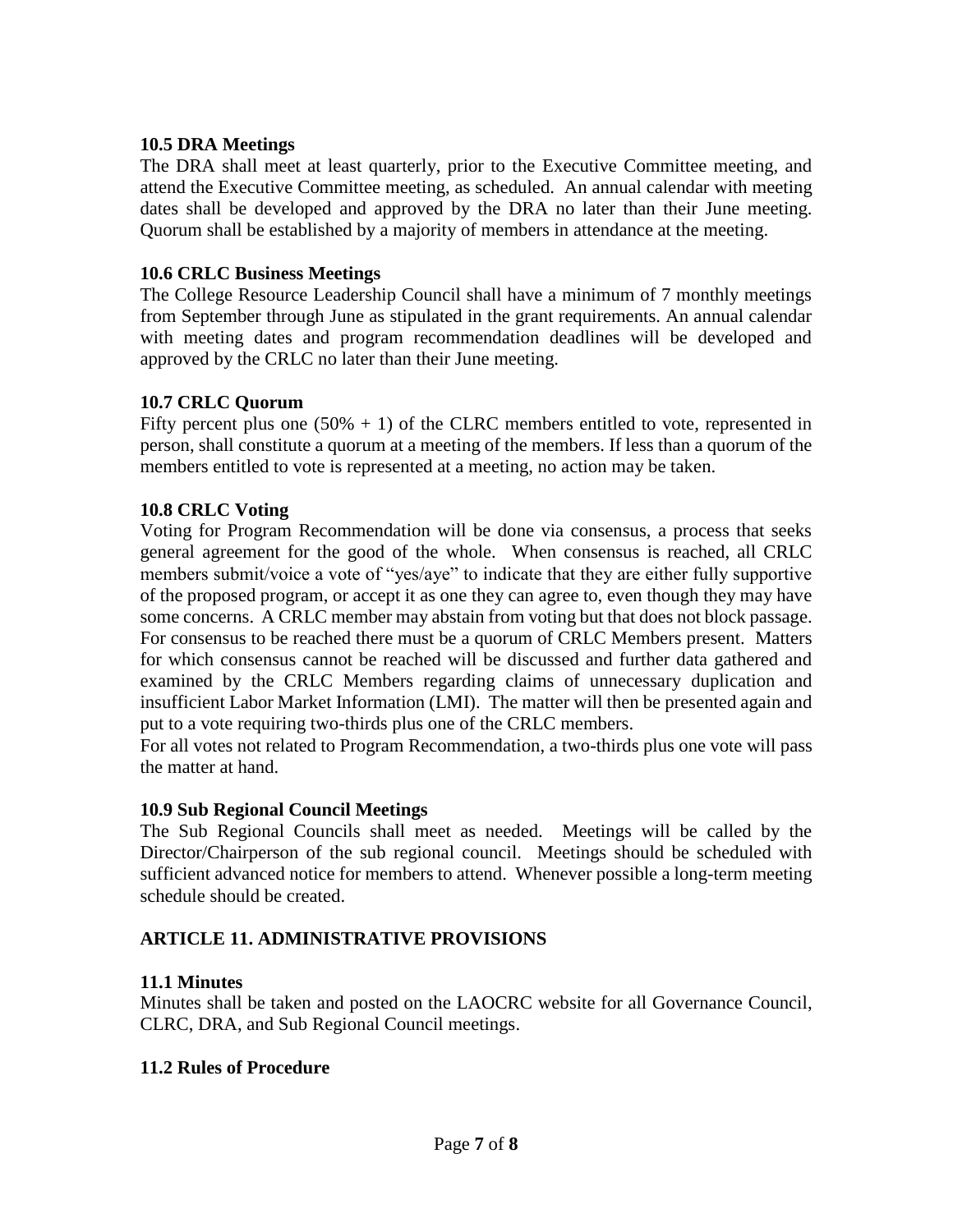#### **10.5 DRA Meetings**

The DRA shall meet at least quarterly, prior to the Executive Committee meeting, and attend the Executive Committee meeting, as scheduled. An annual calendar with meeting dates shall be developed and approved by the DRA no later than their June meeting. Quorum shall be established by a majority of members in attendance at the meeting.

#### **10.6 CRLC Business Meetings**

The College Resource Leadership Council shall have a minimum of 7 monthly meetings from September through June as stipulated in the grant requirements. An annual calendar with meeting dates and program recommendation deadlines will be developed and approved by the CRLC no later than their June meeting.

#### **10.7 CRLC Quorum**

Fifty percent plus one  $(50\% + 1)$  of the CLRC members entitled to vote, represented in person, shall constitute a quorum at a meeting of the members. If less than a quorum of the members entitled to vote is represented at a meeting, no action may be taken.

#### **10.8 CRLC Voting**

Voting for Program Recommendation will be done via consensus, a process that seeks general agreement for the good of the whole. When consensus is reached, all CRLC members submit/voice a vote of "yes/aye" to indicate that they are either fully supportive of the proposed program, or accept it as one they can agree to, even though they may have some concerns. A CRLC member may abstain from voting but that does not block passage. For consensus to be reached there must be a quorum of CRLC Members present. Matters for which consensus cannot be reached will be discussed and further data gathered and examined by the CRLC Members regarding claims of unnecessary duplication and insufficient Labor Market Information (LMI). The matter will then be presented again and put to a vote requiring two-thirds plus one of the CRLC members.

For all votes not related to Program Recommendation, a two-thirds plus one vote will pass the matter at hand.

#### **10.9 Sub Regional Council Meetings**

The Sub Regional Councils shall meet as needed. Meetings will be called by the Director/Chairperson of the sub regional council. Meetings should be scheduled with sufficient advanced notice for members to attend. Whenever possible a long-term meeting schedule should be created.

#### **ARTICLE 11. ADMINISTRATIVE PROVISIONS**

#### **11.1 Minutes**

Minutes shall be taken and posted on the LAOCRC website for all Governance Council, CLRC, DRA, and Sub Regional Council meetings.

#### **11.2 Rules of Procedure**